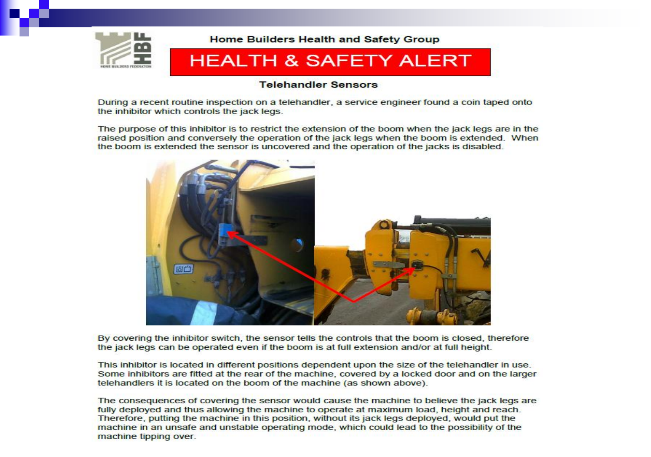

### **Telehandler Sensors**

During a recent routine inspection on a telehandler, a service engineer found a coin taped onto the inhibitor which controls the jack legs.

The purpose of this inhibitor is to restrict the extension of the boom when the jack legs are in the raised position and conversely the operation of the jack legs when the boom is extended. When the boom is extended the sensor is uncovered and the operation of the jacks is disabled.



By covering the inhibitor switch, the sensor tells the controls that the boom is closed, therefore the jack legs can be operated even if the boom is at full extension and/or at full height.

This inhibitor is located in different positions dependent upon the size of the telehandler in use. Some inhibitors are fitted at the rear of the machine, covered by a locked door and on the larger telehandlers it is located on the boom of the machine (as shown above).

The consequences of covering the sensor would cause the machine to believe the jack legs are fully deployed and thus allowing the machine to operate at maximum load, height and reach. Therefore, putting the machine in this position, without its jack legs deployed, would put the machine in an unsafe and unstable operating mode, which could lead to the possibility of the machine tipping over.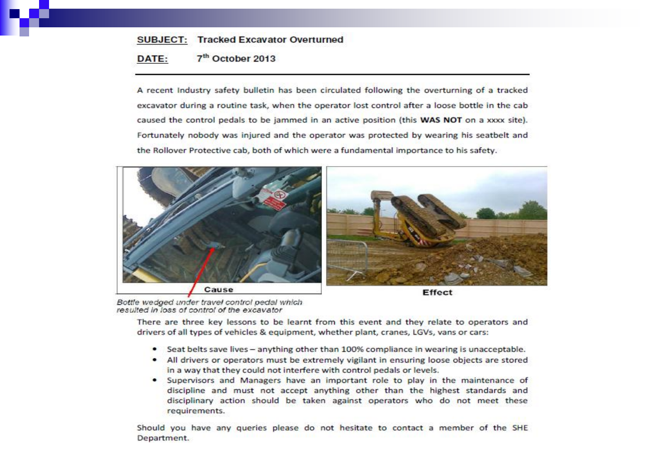### **SUBJECT: Tracked Excavator Overturned** 7<sup>th</sup> October 2013 DATE:

A recent Industry safety bulletin has been circulated following the overturning of a tracked excavator during a routine task, when the operator lost control after a loose bottle in the cab caused the control pedals to be jammed in an active position (this WAS NOT on a xxxx site). Fortunately nobody was injured and the operator was protected by wearing his seatbelt and the Rollover Protective cab, both of which were a fundamental importance to his safety.



Bottle wedged under travel control pedal which resulted in loss of control of the excavator

There are three key lessons to be learnt from this event and they relate to operators and drivers of all types of vehicles & equipment, whether plant, cranes, LGVs, vans or cars:

- Seat belts save lives anything other than 100% compliance in wearing is unacceptable.
- All drivers or operators must be extremely vigilant in ensuring loose objects are stored in a way that they could not interfere with control pedals or levels.
- Supervisors and Managers have an important role to play in the maintenance of discipline and must not accept anything other than the highest standards and disciplinary action should be taken against operators who do not meet these requirements.

Should you have any queries please do not hesitate to contact a member of the SHE Department.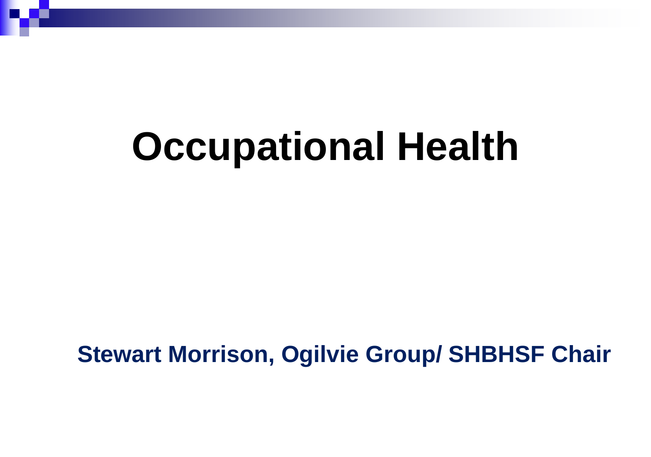# **Occupational Health**

 **Stewart Morrison, Ogilvie Group/ SHBHSF Chair**

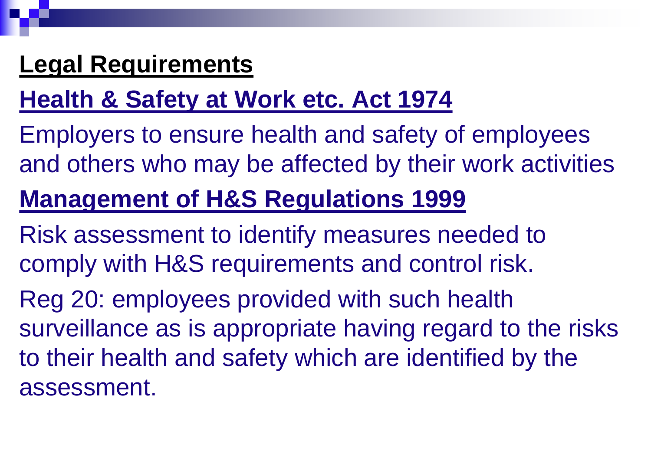## **Legal Requirements**

# **Health & Safety at Work etc. Act 1974**

Employers to ensure health and safety of employees and others who may be affected by their work activities

# **Management of H&S Regulations 1999**

Risk assessment to identify measures needed to comply with H&S requirements and control risk.

Reg 20: employees provided with such health surveillance as is appropriate having regard to the risks to their health and safety which are identified by the assessment.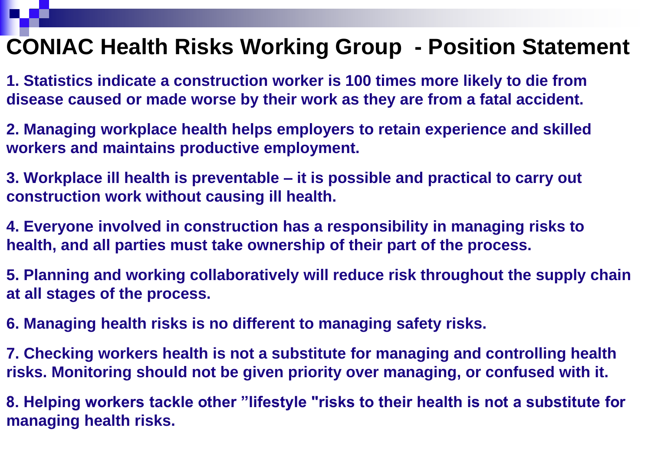## **CONIAC Health Risks Working Group - Position Statement**

**1. Statistics indicate a construction worker is 100 times more likely to die from disease caused or made worse by their work as they are from a fatal accident.**

**2. Managing workplace health helps employers to retain experience and skilled workers and maintains productive employment.**

**3. Workplace ill health is preventable – it is possible and practical to carry out construction work without causing ill health.**

**4. Everyone involved in construction has a responsibility in managing risks to health, and all parties must take ownership of their part of the process.**

**5. Planning and working collaboratively will reduce risk throughout the supply chain at all stages of the process.** 

**6. Managing health risks is no different to managing safety risks.**

**7. Checking workers health is not a substitute for managing and controlling health risks. Monitoring should not be given priority over managing, or confused with it.**

**8. Helping workers tackle other "lifestyle "risks to their health is not a substitute for managing health risks.**

- 
- 
- 
- 
- 

- 
-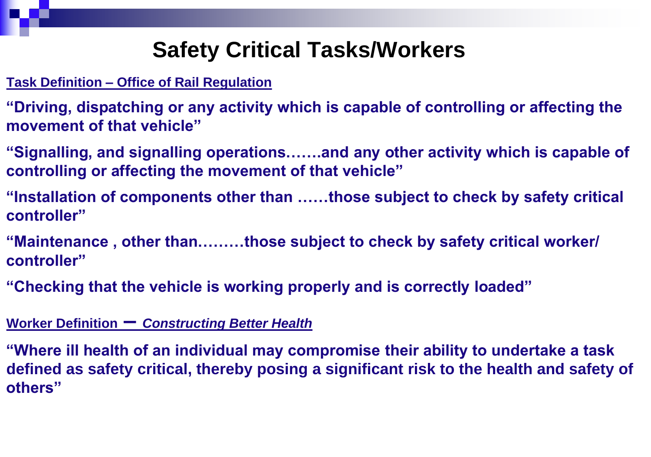### **Safety Critical Tasks/Workers**

### **Task Definition – Office of Rail Regulation**

- **"Driving, dispatching or any activity which is capable of controlling or affecting the movement of that vehicle"**
- **"Signalling, and signalling operations…….and any other activity which is capable of controlling or affecting the movement of that vehicle"**
- **"Installation of components other than ……those subject to check by safety critical controller"**
- **"Maintenance , other than………those subject to check by safety critical worker/ controller"**
- **"Checking that the vehicle is working properly and is correctly loaded"**

### **Worker Definition –** *Constructing Better Health*

**"Where ill health of an individual may compromise their ability to undertake a task defined as safety critical, thereby posing a significant risk to the health and safety of others"**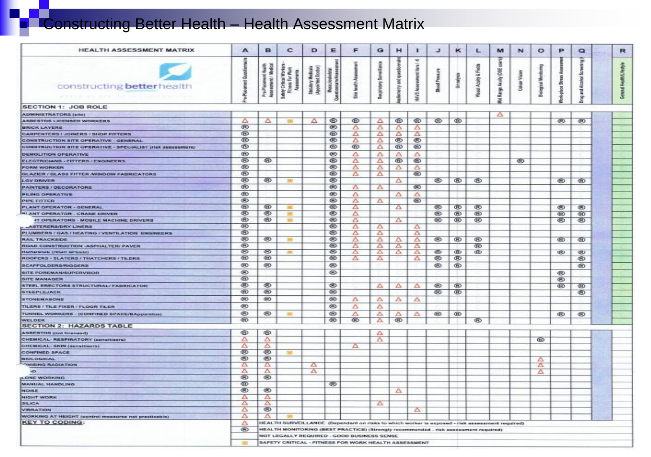# **Constructing Better Health – Health Assessment Matrix**

| <b>HEALTH ASSESSMENT MATRIX</b>                                      | А              | в                               | c                                                                                              | D                                          | Е                               | F           | G                | н           |                            | J.                   | κ          |                          | M                      | N             | $\circ$                  | P             | $\circ$                      | R      |
|----------------------------------------------------------------------|----------------|---------------------------------|------------------------------------------------------------------------------------------------|--------------------------------------------|---------------------------------|-------------|------------------|-------------|----------------------------|----------------------|------------|--------------------------|------------------------|---------------|--------------------------|---------------|------------------------------|--------|
| constructing better health                                           | a              | 量<br>Assossment /<br>Pro-Placer | <b>Fitness For Worl</b><br>fety Critical Wor<br>ā<br>ā                                         | <b>Appointed Doctor</b><br>Statutory Medic | $\frac{1}{2}$<br>Musculosk<br>а | €<br>蠹      | よ<br>Respiratory | ŝ<br>Ξ<br>藍 | ÷<br>HAVS Assessment tiers | <b>Blood Pressur</b> | Untratypin | oal Aculty & Fields<br>虔 | š<br>Range Aculty (DSE | Colour Vision | <b>Bological Monitor</b> | <b>Stress</b> | 2<br>-M<br>Alcohol<br>Ţ<br>毕 | 覂<br>a |
| <b>SECTION 1: JOB ROLE</b>                                           |                |                                 |                                                                                                |                                            |                                 |             |                  |             |                            |                      |            |                          |                        |               |                          |               |                              |        |
| ADMINISTRATORS (site)                                                |                |                                 |                                                                                                |                                            |                                 |             |                  |             |                            |                      |            |                          | Δ                      |               |                          |               |                              |        |
| ASBESTOS LICENSED WORKERS                                            | △              | Δ                               | 羅                                                                                              | Δ                                          | ®                               | ⊛           | Δ                | ®           | ⊛                          | ®                    | ⊛          |                          |                        |               |                          | ⊛             | ⊛                            |        |
| <b>BRICK LAYERS</b>                                                  | ®              |                                 |                                                                                                |                                            | ®                               | Δ           | Δ                | Δ           | Δ                          |                      |            |                          |                        |               |                          |               |                              |        |
| <b>CARPENTERS / JOINERS / SHOP FITTERS</b>                           | œ              |                                 |                                                                                                |                                            | œ                               | ▵           | Δ                | Δ           | Δ                          |                      |            |                          |                        |               |                          |               |                              |        |
| <b>CONSTRUCTION SITE OPERATIVE - GENERAL</b>                         | ®              |                                 |                                                                                                |                                            | ®                               | △           | Δ                | ®           | ভ                          |                      |            |                          |                        |               |                          |               |                              |        |
| CONSTRUCTION SITE OPERATIVE - SPECIALIST (Hs), assessment            | œ              |                                 |                                                                                                |                                            | œ                               | ®           | Δ                | ®           | ®                          |                      |            |                          |                        |               |                          |               |                              |        |
| DEMOLITION OPERATIVE                                                 | $^{\circ}$     |                                 |                                                                                                |                                            | ®                               | Δ           | Δ                | Δ           | Δ                          |                      |            |                          |                        |               |                          |               |                              |        |
| <b>ELECTRICIANS - FITTERS / ENGINEERS</b>                            | œ              | ⊛                               |                                                                                                |                                            | ®                               | Δ           | Δ                | ®           | $^{\circ}$                 |                      |            |                          |                        | ⊛             |                          |               |                              |        |
| <b>FORM WORKER</b>                                                   | $\oplus$       |                                 |                                                                                                |                                            | ®                               | Δ           | Δ                | Δ           | Δ                          |                      |            |                          |                        |               |                          |               |                              |        |
| GLAZIER / GLASS FITTER / WINDOW FABRICATORS                          | <b>GO</b>      |                                 |                                                                                                |                                            | ⊛                               | Δ           | Δ                |             | ®                          |                      |            |                          |                        |               |                          |               |                              |        |
| <b>LGV DRIVER</b>                                                    | ®              | ⊛                               | 341                                                                                            |                                            | ®                               |             |                  | Δ           |                            | ®                    | ⊛          | ®                        |                        |               |                          | $^{\circ}$    | ⊛                            |        |
| <b>PAINTERS/DECORATORS</b>                                           | œ              |                                 |                                                                                                |                                            | ®                               | Δ           | Δ                |             | ®                          |                      |            |                          |                        |               |                          |               |                              |        |
| <b>PILING OPERATIVE</b>                                              | ®              |                                 |                                                                                                |                                            | ®                               | Δ           |                  | Δ           | Δ                          |                      |            |                          |                        |               |                          |               |                              |        |
| <b>PIPE FITTER</b>                                                   | <b>®</b>       |                                 |                                                                                                |                                            | ⊛                               | Δ           | Δ                |             | $^{\circ}$                 |                      |            |                          |                        |               |                          |               |                              |        |
| <b>PLANT OPERATOR - GENERAL</b>                                      | ⊛              | ⊛                               | 実                                                                                              |                                            | ⊛                               | Δ           |                  | Δ           |                            | ⊛                    | ®          | œ                        |                        |               |                          | ⊛             | ⊛                            |        |
| <b>BLANT OPERATOR - CRANE DRIVER</b>                                 | ®              | $^{\circ}$                      |                                                                                                |                                            | ⊛                               | Δ           |                  |             |                            | $^{\circledR}$       | ®          | ®                        |                        |               |                          | ⊛             | ⊛                            |        |
| 4T OPERATORS - MOBILE MACHINE DRIVERS                                | ®              | $^{\circledR}$                  | <b>SHO</b>                                                                                     |                                            | ⊛                               | Δ           |                  | Δ           |                            | ⊛                    | ®          | œ                        |                        |               |                          | ⊛             | ⊛                            |        |
| <b>LASTERERS/DRY LINERS</b>                                          | $^{\circledR}$ |                                 |                                                                                                |                                            | ®                               | ▵           | Δ                |             | Δ                          |                      |            |                          |                        |               |                          |               |                              |        |
| PLUMBERS / GAS / HEATING / VENTILATION ENGINEERS                     | ®              |                                 |                                                                                                |                                            | ®                               | Δ           | Δ                |             | Δ                          |                      |            |                          |                        |               |                          |               |                              |        |
| <b>RAIL TRACKSIDE</b>                                                | ®              | $^{\circ}$                      | 道                                                                                              |                                            | ⊛                               | Δ           | Δ                | Δ           | Δ                          | $^{\circledR}$       | $^{\circ}$ | œ                        |                        |               |                          | $^{\circ}$    | $^{\circ}$                   |        |
| ROAD CONSTRUCTION ASPHALTER/ PAVER                                   | $^{\circledR}$ |                                 |                                                                                                |                                            | ⊛                               | Δ           | Δ                | Δ           | Δ                          |                      |            | œ                        |                        |               |                          |               |                              |        |
| <b>ROADSIDE DINH SPEED)</b>                                          | $^{\circ}$     | ☜                               | 源                                                                                              |                                            | ⊛                               | $\triangle$ | ≏                | ≏           | Δ                          | ☜                    | ®          | œ                        |                        |               |                          | ®             | ®                            |        |
| ROOFERS - SLATERS / THATCHERS / TILERS                               | ®              | $^{\circ}$                      |                                                                                                |                                            | $^{\circledR}$                  | Δ           | Δ                |             | Δ                          | ⊛                    | ⊛          |                          |                        |               |                          |               | ®                            |        |
| <b>SCAFFOLDERS/RIGGERS</b>                                           | ⊛              | ⊛                               |                                                                                                |                                            | ⊛                               |             |                  |             |                            | ⊛                    | ®          |                          |                        |               |                          |               | $^*$                         |        |
| <b>SITE POREMAN/SUPERVISOR</b>                                       | ⊛              |                                 |                                                                                                |                                            | ⊛                               |             |                  |             |                            |                      |            |                          |                        |               |                          | ®             |                              |        |
| <b>SITE MANAGER</b>                                                  | ⊛              |                                 |                                                                                                |                                            |                                 |             |                  |             |                            |                      |            |                          |                        |               |                          | $^{\circ}$    |                              |        |
| STEEL ERECTORS STRUCTURAL/ FABRICATOR                                | ⊛              | ◉                               |                                                                                                |                                            | ⊛                               |             | Δ                | Δ           | △                          | ⊛                    | ®          |                          |                        |               |                          | ⊛             | ⊛                            |        |
| <b>STEEPLEJACK</b>                                                   | $^{\circ}$     | ☜                               |                                                                                                |                                            | ®.                              |             |                  |             |                            | ⊛                    | œ          |                          |                        |               |                          |               | ⊛                            |        |
| <b>STONEMASONS</b>                                                   | ®              | ⊛                               |                                                                                                |                                            | ⊛                               | Δ           | $\Delta$         | $\Delta$    | Δ                          |                      |            |                          |                        |               |                          |               |                              |        |
|                                                                      | $^{\circ}$     |                                 |                                                                                                |                                            | ⊛                               |             |                  |             |                            |                      |            |                          |                        |               |                          |               |                              |        |
| TILERS / TILE FIXER / FLOOR TILER                                    |                |                                 |                                                                                                |                                            |                                 | Δ           | Δ                |             |                            |                      |            |                          |                        |               |                          |               |                              |        |
| TUNNEL WORKERS - (CONFINED SPACE/BApparatus)                         | ⊛              | ⊛                               | <b>SHEE</b>                                                                                    |                                            | ⊛                               | Δ           | Δ                | ▵           | Δ                          | $^{\circ}$           | ®          |                          |                        |               |                          | ®             | $^{\circ}$                   |        |
| <b>WELDER</b><br><b>SECTION 2: HAZARDS TABLE</b>                     | ®              |                                 |                                                                                                |                                            | ⊛                               | ®           | Δ                | $^{\circ}$  |                            |                      |            | œ                        |                        |               |                          |               |                              |        |
|                                                                      | $^{\circ}$     | ⊛                               |                                                                                                |                                            |                                 |             |                  |             |                            |                      |            |                          |                        |               |                          |               |                              |        |
| <b>ASBESTOS (not licensed)</b><br>CHEMICAL-RESPIRATORY (sensitivers) | Δ              | Δ                               |                                                                                                |                                            |                                 |             | Δ.<br>Δ          |             |                            |                      |            |                          |                        |               |                          |               |                              |        |
|                                                                      | Δ              | Δ                               |                                                                                                |                                            |                                 |             |                  |             |                            |                      |            |                          |                        |               | ®                        |               |                              |        |
| CHEMICAL-SKIN (sensitisers)<br><b>CONFINED SPACE</b>                 | ⊛              | $^{\circ}$                      |                                                                                                |                                            |                                 | Δ           |                  |             |                            |                      |            |                          |                        |               |                          |               |                              |        |
| <b>BIOLOGICAL</b>                                                    | ⊛              | $^{\circ}$                      |                                                                                                |                                            |                                 |             |                  |             |                            |                      |            |                          |                        |               |                          |               |                              |        |
| <b>YOU ANGABIATION</b>                                               | A              | $\Delta$                        |                                                                                                | ≏                                          |                                 |             |                  |             |                            |                      |            |                          |                        |               | Δ<br>$\Delta$            |               |                              |        |
| <b>UD</b>                                                            | ▵              | Δ                               |                                                                                                | Δ                                          |                                 |             |                  |             |                            |                      |            |                          |                        |               | Δ                        |               |                              |        |
| <b>JLONE WORKING</b>                                                 | ⊛              | $^{\circ}$                      |                                                                                                |                                            |                                 |             |                  |             |                            |                      |            |                          |                        |               |                          |               |                              |        |
| MANUAL HANDLING                                                      | ⊛              |                                 |                                                                                                |                                            | ⊛                               |             |                  |             |                            |                      |            |                          |                        |               |                          |               |                              |        |
| <b>NOISE</b>                                                         | ⊛              | ⊛                               |                                                                                                |                                            |                                 |             |                  | Δ           |                            |                      |            |                          |                        |               |                          |               |                              |        |
| <b>NIGHT WORK</b>                                                    | △              | $\Delta$                        |                                                                                                |                                            |                                 |             |                  |             |                            |                      |            |                          |                        |               |                          |               |                              |        |
| SE.ICA                                                               | △              | Δ                               |                                                                                                |                                            |                                 |             | $\Delta$         |             |                            |                      |            |                          |                        |               |                          |               |                              |        |
| <b>VIBRATION</b>                                                     | ▵              | $^{\circ}$                      |                                                                                                |                                            |                                 |             |                  |             | Δ                          |                      |            |                          |                        |               |                          |               |                              |        |
| WORKING AT HEIGHT (control measures not practicable)                 | △              | Δ                               |                                                                                                |                                            |                                 |             |                  |             |                            |                      |            |                          |                        |               |                          |               |                              |        |
| <b>KEY TO CODING:</b>                                                | Δ              |                                 | HEALTH SURVEILLANCE (Dependant on risks to which worker is exposed - risk assessment required) |                                            |                                 |             |                  |             |                            |                      |            |                          |                        |               |                          |               |                              |        |
|                                                                      | ®              |                                 | HEALTH MONITORING (BEST PRACTICE) (Strongly recommended - risk assessment required)            |                                            |                                 |             |                  |             |                            |                      |            |                          |                        |               |                          |               |                              |        |
|                                                                      |                |                                 | <b>NOT LEGALLY REQUIRED - GOOD BUSINESS SENSE</b>                                              |                                            |                                 |             |                  |             |                            |                      |            |                          |                        |               |                          |               |                              |        |
|                                                                      |                |                                 | SAFETY CRITICAL - FITNESS FOR WORK HEALTH ASSESSMENT                                           |                                            |                                 |             |                  |             |                            |                      |            |                          |                        |               |                          |               |                              |        |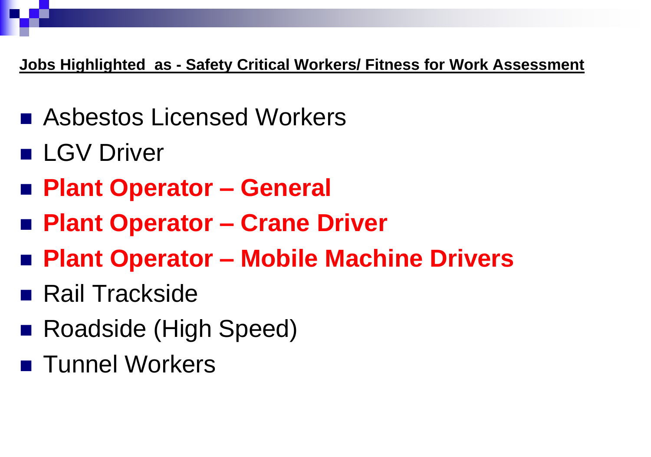### **Jobs Highlighted as - Safety Critical Workers/ Fitness for Work Assessment**

- Asbestos Licensed Workers
- **LGV Driver**
- **Plant Operator – General**
- **Plant Operator – Crane Driver**
- **Plant Operator – Mobile Machine Drivers**
- **Rail Trackside**
- Roadside (High Speed)
- **Tunnel Workers**

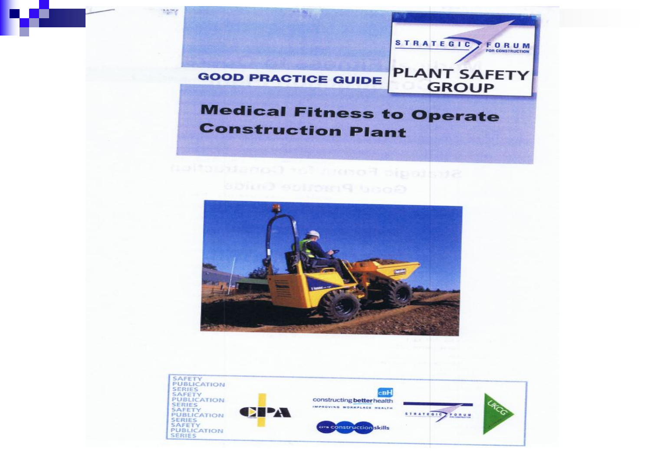

**MANY** 

### **Medical Fitness to Operate Construction Plant**

# Straighc Formulator Construction





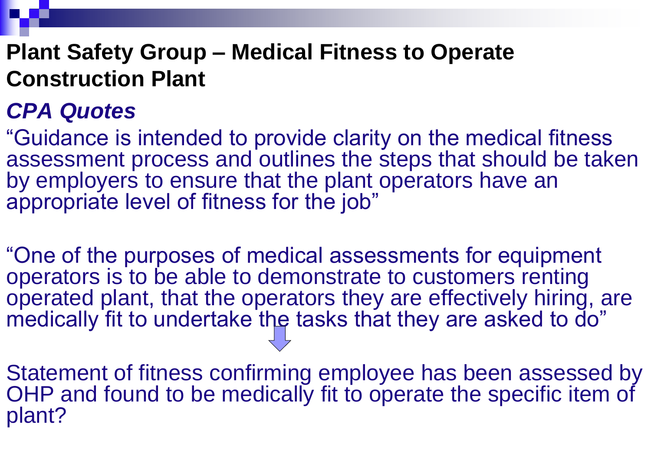### **Plant Safety Group – Medical Fitness to Operate Construction Plant**

### *CPA Quotes*

"One of the purposes of medical assessments for equipment operators is to be able to demonstrate to customers renting operated plant, that the operators they are effectively hiring, are medically fit to undertake the tasks that they are asked to do"

"Guidance is intended to provide clarity on the medical fitness assessment process and outlines the steps that should be taken by employers to ensure that the plant operators have an appropriate level of fitness for the job"

Statement of fitness confirming employee has been assessed by OHP and found to be medically fit to operate the specific item of plant?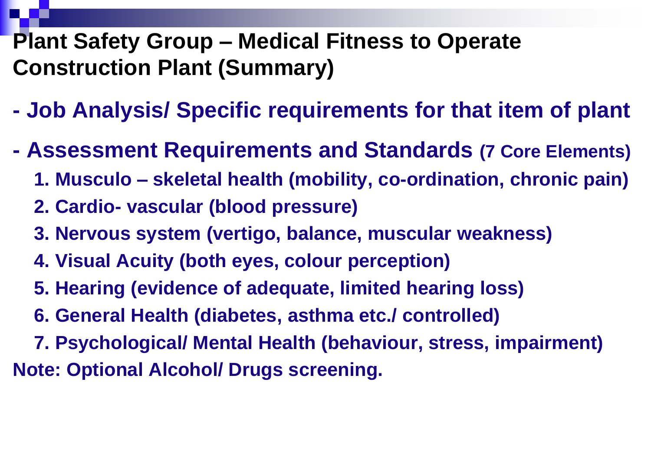### **Plant Safety Group – Medical Fitness to Operate Construction Plant (Summary)**

- **- Job Analysis/ Specific requirements for that item of plant**
- **- Assessment Requirements and Standards (7 Core Elements)**
	- **1. Musculo – skeletal health (mobility, co-ordination, chronic pain)**
	- **2. Cardio- vascular (blood pressure)**
	- **3. Nervous system (vertigo, balance, muscular weakness)**
	- **4. Visual Acuity (both eyes, colour perception)**
	- **5. Hearing (evidence of adequate, limited hearing loss)**
	- **6. General Health (diabetes, asthma etc./ controlled)**
- **7. Psychological/ Mental Health (behaviour, stress, impairment) Note: Optional Alcohol/ Drugs screening.**



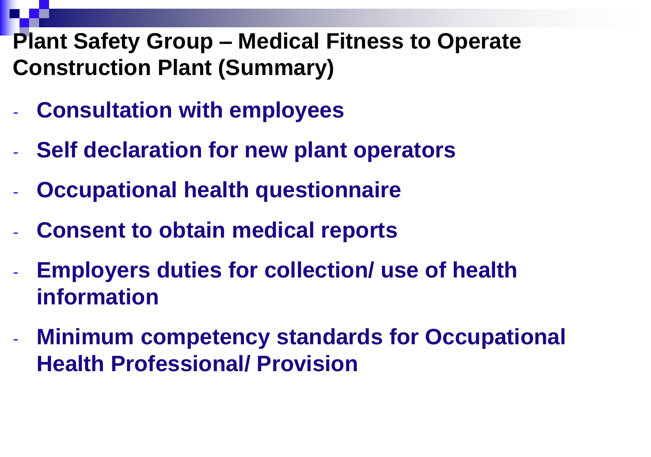### **Plant Safety Group – Medical Fitness to Operate Construction Plant (Summary)**

- **Consultation with employees**
- **Self declaration for new plant operators**
- **Occupational health questionnaire**
- **Consent to obtain medical reports**
- **Employers duties for collection/ use of health information**
- **Minimum competency standards for Occupational Health Professional/ Provision**